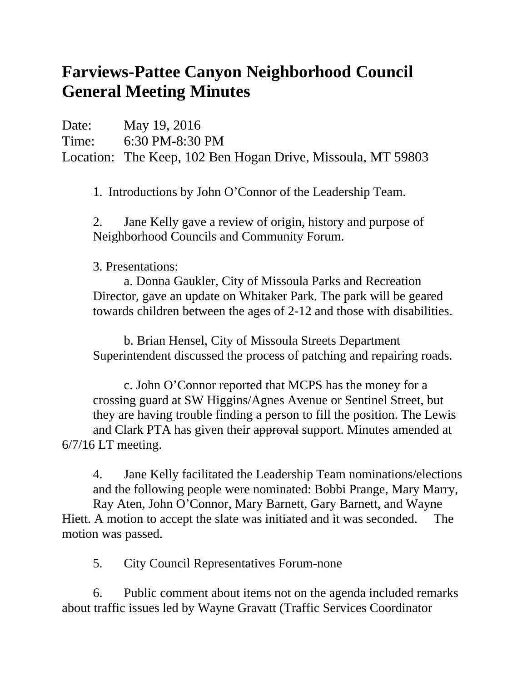## **Farviews-Pattee Canyon Neighborhood Council General Meeting Minutes**

Date: May 19, 2016 Time: 6:30 PM-8:30 PM Location: The Keep, 102 Ben Hogan Drive, Missoula, MT 59803

1. Introductions by John O'Connor of the Leadership Team.

2. Jane Kelly gave a review of origin, history and purpose of Neighborhood Councils and Community Forum.

3. Presentations:

a. Donna Gaukler, City of Missoula Parks and Recreation Director, gave an update on Whitaker Park. The park will be geared towards children between the ages of 2-12 and those with disabilities.

b. Brian Hensel, City of Missoula Streets Department Superintendent discussed the process of patching and repairing roads.

c. John O'Connor reported that MCPS has the money for a crossing guard at SW Higgins/Agnes Avenue or Sentinel Street, but they are having trouble finding a person to fill the position. The Lewis and Clark PTA has given their approval support. Minutes amended at 6/7/16 LT meeting.

4. Jane Kelly facilitated the Leadership Team nominations/elections and the following people were nominated: Bobbi Prange, Mary Marry, Ray Aten, John O'Connor, Mary Barnett, Gary Barnett, and Wayne Hiett. A motion to accept the slate was initiated and it was seconded. The motion was passed.

5. City Council Representatives Forum-none

6. Public comment about items not on the agenda included remarks about traffic issues led by Wayne Gravatt (Traffic Services Coordinator